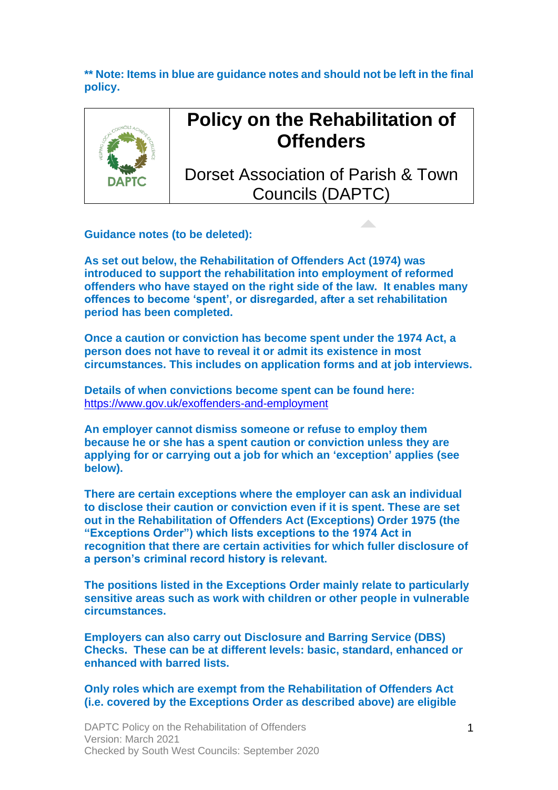**\*\* Note: Items in blue are guidance notes and should not be left in the final policy.**



# **Policy on the Rehabilitation of Offenders**

Dorset Association of Parish & Town Councils (DAPTC)

**Guidance notes (to be deleted):** 

**As set out below, the Rehabilitation of Offenders Act (1974) was introduced to support the rehabilitation into employment of reformed offenders who have stayed on the right side of the law. It enables many offences to become 'spent', or disregarded, after a set rehabilitation period has been completed.** 

**Once a caution or conviction has become spent under the 1974 Act, a person does not have to reveal it or admit its existence in most circumstances. This includes on application forms and at job interviews.**

**Details of when convictions become spent can be found here:**  <https://www.gov.uk/exoffenders-and-employment>

**An employer cannot dismiss someone or refuse to employ them because he or she has a spent caution or conviction unless they are applying for or carrying out a job for which an 'exception' applies (see below).**

**There are certain exceptions where the employer can ask an individual to disclose their caution or conviction even if it is spent. These are set out in the Rehabilitation of Offenders Act (Exceptions) Order 1975 (the "Exceptions Order") which lists exceptions to the 1974 Act in recognition that there are certain activities for which fuller disclosure of a person's criminal record history is relevant.**

**The positions listed in the Exceptions Order mainly relate to particularly sensitive areas such as work with children or other people in vulnerable circumstances.**

**Employers can also carry out Disclosure and Barring Service (DBS) Checks. These can be at different levels: basic, standard, enhanced or enhanced with barred lists.** 

**Only roles which are exempt from the Rehabilitation of Offenders Act (i.e. covered by the Exceptions Order as described above) are eligible**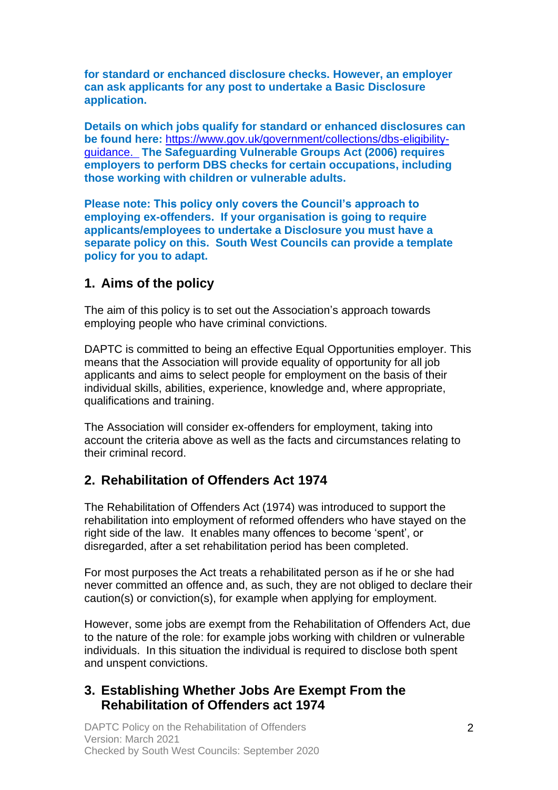**for standard or enchanced disclosure checks. However, an employer can ask applicants for any post to undertake a Basic Disclosure application.**

**Details on which jobs qualify for standard or enhanced disclosures can be found here:** [https://www.gov.uk/government/collections/dbs-eligibility](https://www.gov.uk/government/collections/dbs-eligibility-guidance)[guidance.](https://www.gov.uk/government/collections/dbs-eligibility-guidance) **The Safeguarding Vulnerable Groups Act (2006) requires employers to perform DBS checks for certain occupations, including those working with children or vulnerable adults.**

**Please note: This policy only covers the Council's approach to employing ex-offenders. If your organisation is going to require applicants/employees to undertake a Disclosure you must have a separate policy on this. South West Councils can provide a template policy for you to adapt.**

#### **1. Aims of the policy**

The aim of this policy is to set out the Association's approach towards employing people who have criminal convictions.

DAPTC is committed to being an effective Equal Opportunities employer. This means that the Association will provide equality of opportunity for all job applicants and aims to select people for employment on the basis of their individual skills, abilities, experience, knowledge and, where appropriate, qualifications and training.

The Association will consider ex-offenders for employment, taking into account the criteria above as well as the facts and circumstances relating to their criminal record.

#### **2. Rehabilitation of Offenders Act 1974**

The Rehabilitation of Offenders Act (1974) was introduced to support the rehabilitation into employment of reformed offenders who have stayed on the right side of the law. It enables many offences to become 'spent', or disregarded, after a set rehabilitation period has been completed.

For most purposes the Act treats a rehabilitated person as if he or she had never committed an offence and, as such, they are not obliged to declare their caution(s) or conviction(s), for example when applying for employment.

However, some jobs are exempt from the Rehabilitation of Offenders Act, due to the nature of the role: for example jobs working with children or vulnerable individuals. In this situation the individual is required to disclose both spent and unspent convictions.

#### **3. Establishing Whether Jobs Are Exempt From the Rehabilitation of Offenders act 1974**

DAPTC Policy on the Rehabilitation of Offenders Version: March 2021 Checked by South West Councils: September 2020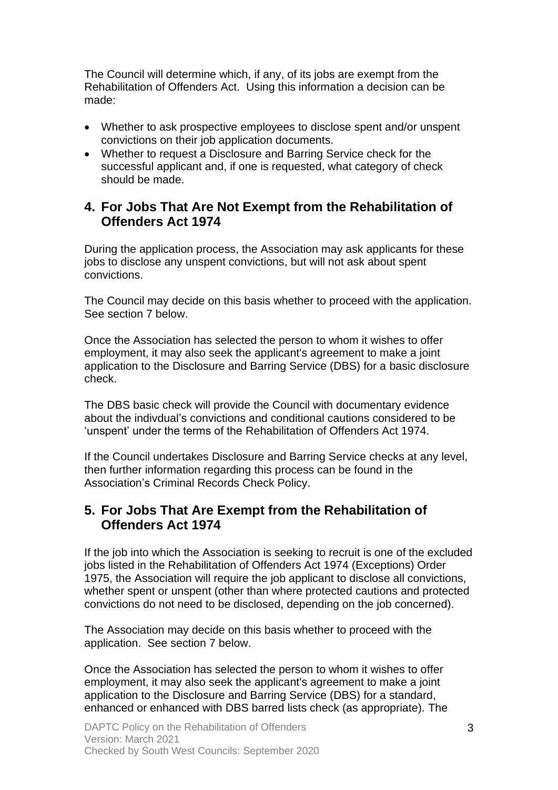The Council will determine which, if any, of its jobs are exempt from the Rehabilitation of Offenders Act. Using this information a decision can be made:

- Whether to ask prospective employees to disclose spent and/or unspent convictions on their job application documents.
- Whether to request a Disclosure and Barring Service check for the successful applicant and, if one is requested, what category of check should be made.

#### **4. For Jobs That Are Not Exempt from the Rehabilitation of Offenders Act 1974**

During the application process, the Association may ask applicants for these jobs to disclose any unspent convictions, but will not ask about spent convictions.

The Council may decide on this basis whether to proceed with the application. See section 7 below.

Once the Association has selected the person to whom it wishes to offer employment, it may also seek the applicant's agreement to make a joint application to the Disclosure and Barring Service (DBS) for a basic disclosure check.

The DBS basic check will provide the Council with documentary evidence about the indivdual's convictions and conditional cautions considered to be 'unspent' under the terms of the [Rehabilitation](https://www.legislation.gov.uk/ukpga/1974/53) of Offenders Act 1974.

If the Council undertakes Disclosure and Barring Service checks at any level, then further information regarding this process can be found in the Association's Criminal Records Check Policy.

#### **5. For Jobs That Are Exempt from the Rehabilitation of Offenders Act 1974**

If the job into which the Association is seeking to recruit is one of the excluded jobs listed in the Rehabilitation of Offenders Act 1974 (Exceptions) Order 1975, the Association will require the job applicant to disclose all convictions, whether spent or unspent (other than where protected cautions and protected convictions do not need to be disclosed, depending on the job concerned).

The Association may decide on this basis whether to proceed with the application. See section 7 below.

Once the Association has selected the person to whom it wishes to offer employment, it may also seek the applicant's agreement to make a joint application to the Disclosure and Barring Service (DBS) for a standard, enhanced or enhanced with DBS barred lists check (as appropriate). The